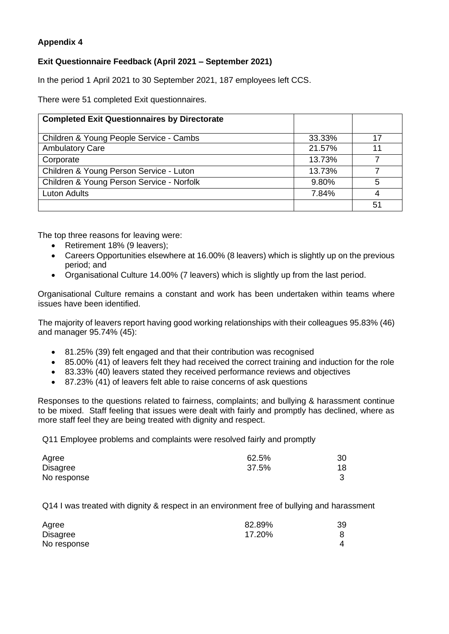## **Appendix 4**

## **Exit Questionnaire Feedback (April 2021 – September 2021)**

In the period 1 April 2021 to 30 September 2021, 187 employees left CCS.

There were 51 completed Exit questionnaires.

| <b>Completed Exit Questionnaires by Directorate</b> |        |    |
|-----------------------------------------------------|--------|----|
|                                                     |        |    |
| Children & Young People Service - Cambs             | 33.33% | 17 |
| <b>Ambulatory Care</b>                              | 21.57% | 11 |
| Corporate                                           | 13.73% |    |
| Children & Young Person Service - Luton             | 13.73% |    |
| Children & Young Person Service - Norfolk           | 9.80%  | 5  |
| <b>Luton Adults</b>                                 | 7.84%  |    |
|                                                     |        | 51 |

The top three reasons for leaving were:

- Retirement 18% (9 leavers);
- Careers Opportunities elsewhere at 16.00% (8 leavers) which is slightly up on the previous period; and
- Organisational Culture 14.00% (7 leavers) which is slightly up from the last period.

Organisational Culture remains a constant and work has been undertaken within teams where issues have been identified.

The majority of leavers report having good working relationships with their colleagues 95.83% (46) and manager 95.74% (45):

- 81.25% (39) felt engaged and that their contribution was recognised
- 85.00% (41) of leavers felt they had received the correct training and induction for the role
- 83.33% (40) leavers stated they received performance reviews and objectives
- 87.23% (41) of leavers felt able to raise concerns of ask questions

Responses to the questions related to fairness, complaints; and bullying & harassment continue to be mixed. Staff feeling that issues were dealt with fairly and promptly has declined, where as more staff feel they are being treated with dignity and respect.

Q11 Employee problems and complaints were resolved fairly and promptly

| Agree       | 62.5% | 30 |
|-------------|-------|----|
| Disagree    | 37.5% | 18 |
| No response |       |    |

Q14 I was treated with dignity & respect in an environment free of bullying and harassment

| Agree           | 82.89% | 39 |
|-----------------|--------|----|
| <b>Disagree</b> | 17.20% |    |
| No response     |        | Δ  |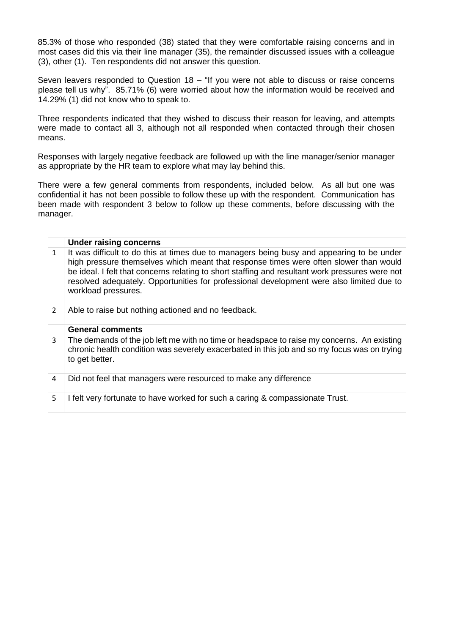85.3% of those who responded (38) stated that they were comfortable raising concerns and in most cases did this via their line manager (35), the remainder discussed issues with a colleague (3), other (1). Ten respondents did not answer this question.

Seven leavers responded to Question  $18 -$  "If you were not able to discuss or raise concerns please tell us why". 85.71% (6) were worried about how the information would be received and 14.29% (1) did not know who to speak to.

Three respondents indicated that they wished to discuss their reason for leaving, and attempts were made to contact all 3, although not all responded when contacted through their chosen means.

Responses with largely negative feedback are followed up with the line manager/senior manager as appropriate by the HR team to explore what may lay behind this.

There were a few general comments from respondents, included below. As all but one was confidential it has not been possible to follow these up with the respondent. Communication has been made with respondent 3 below to follow up these comments, before discussing with the manager.

|               | <b>Under raising concerns</b>                                                                                                                                                                                                                                                                                                                                                                            |
|---------------|----------------------------------------------------------------------------------------------------------------------------------------------------------------------------------------------------------------------------------------------------------------------------------------------------------------------------------------------------------------------------------------------------------|
| $\mathbf{1}$  | It was difficult to do this at times due to managers being busy and appearing to be under<br>high pressure themselves which meant that response times were often slower than would<br>be ideal. I felt that concerns relating to short staffing and resultant work pressures were not<br>resolved adequately. Opportunities for professional development were also limited due to<br>workload pressures. |
| $\mathcal{L}$ | Able to raise but nothing actioned and no feedback.                                                                                                                                                                                                                                                                                                                                                      |
|               | <b>General comments</b>                                                                                                                                                                                                                                                                                                                                                                                  |
| 3             | The demands of the job left me with no time or headspace to raise my concerns. An existing<br>chronic health condition was severely exacerbated in this job and so my focus was on trying<br>to get better.                                                                                                                                                                                              |
| 4             | Did not feel that managers were resourced to make any difference                                                                                                                                                                                                                                                                                                                                         |
| 5             | I felt very fortunate to have worked for such a caring & compassionate Trust.                                                                                                                                                                                                                                                                                                                            |